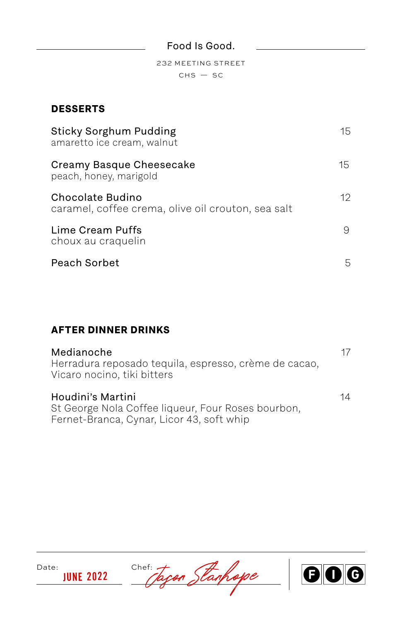## Food Is Good.

232 MEETING STREET  $CHS - SC$ 

## **DESSERTS**

| <b>Sticky Sorghum Pudding</b><br>amaretto ice cream, walnut            | 15<br>15 |
|------------------------------------------------------------------------|----------|
| Creamy Basque Cheesecake<br>peach, honey, marigold                     |          |
| Chocolate Budino<br>caramel, coffee crema, olive oil crouton, sea salt | 12       |
| Lime Cream Puffs<br>choux au craquelin                                 | 9        |
| Peach Sorbet                                                           | 5        |

## **AFTER DINNER DRINKS**

| Medianoche<br>Herradura reposado tequila, espresso, crème de cacao,<br>Vicaro nocino, tiki bitters                   | 17 |
|----------------------------------------------------------------------------------------------------------------------|----|
| Houdini's Martini<br>St George Nola Coffee liqueur, Four Roses bourbon,<br>Fernet-Branca, Cynar, Licor 43, soft whip | 14 |



Date: June 2022 Chef: Jacon Stanhope